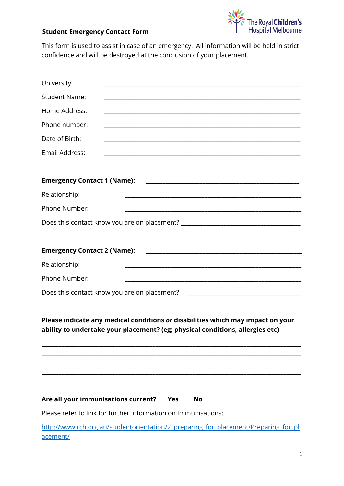

## **Student Emergency Contact Form**

This form is used to assist in case of an emergency. All information will be held in strict confidence and will be destroyed at the conclusion of your placement.

| University:                         | <u> 1980 - Johann Barbara, martxa alemaniar arg</u>                                                                                                                  |
|-------------------------------------|----------------------------------------------------------------------------------------------------------------------------------------------------------------------|
| <b>Student Name:</b>                |                                                                                                                                                                      |
| Home Address:                       |                                                                                                                                                                      |
| Phone number:                       | <u> 1989 - Johann Stoff, deutscher Stoff, der Stoff, der Stoff, der Stoff, der Stoff, der Stoff, der Stoff, der S</u>                                                |
| Date of Birth:                      |                                                                                                                                                                      |
| Email Address:                      |                                                                                                                                                                      |
| <b>Emergency Contact 1 (Name):</b>  | <u> 1980 - Jan James James James James James James James James James James James James James James James James J</u>                                                 |
| Relationship:                       | <u> 1989 - Johann John Harry Harry Harry Harry Harry Harry Harry Harry Harry Harry Harry Harry Harry Harry Harry</u>                                                 |
| Phone Number:                       | <u> 2000 - Jan Barnett, fransk politik (d. 1888)</u>                                                                                                                 |
|                                     | Does this contact know you are on placement? ___________________________________                                                                                     |
|                                     |                                                                                                                                                                      |
| Relationship:                       |                                                                                                                                                                      |
| Phone Number:                       | <u> 2000 - Jan James James James James James James James James James James James James James James James James J</u>                                                 |
|                                     | Does this contact know you are on placement?<br><u> 2000 - Jan James James Jan James James James James James James James James James James James James James Jam</u> |
|                                     | Please indicate any medical conditions or disabilities which may impact on your<br>ability to undertake your placement? (eg; physical conditions, allergies etc)     |
|                                     |                                                                                                                                                                      |
|                                     |                                                                                                                                                                      |
| Are all your immunisations current? | Yes<br><b>No</b>                                                                                                                                                     |

Please refer to link for further information on Immunisations:

[http://www.rch.org.au/studentorientation/2\\_preparing\\_for\\_placement/Preparing\\_for\\_pl](http://www.rch.org.au/studentorientation/2_preparing_for_placement/Preparing_for_placement/) [acement/](http://www.rch.org.au/studentorientation/2_preparing_for_placement/Preparing_for_placement/)